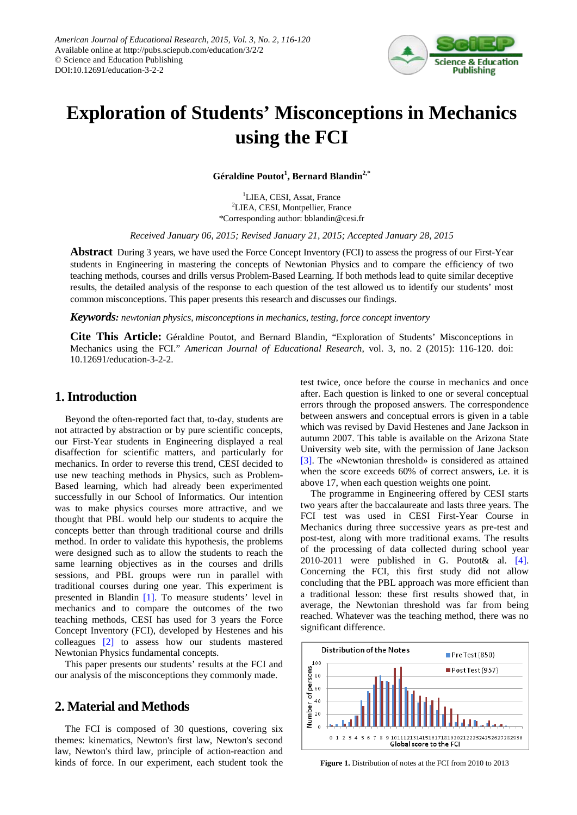

# **Exploration of Students' Misconceptions in Mechanics using the FCI**

**Géraldine Poutot<sup>1</sup> , Bernard Blandin2,\***

<sup>1</sup>LIEA, CESI, Assat, France <sup>2</sup>LIEA, CESI, Montpellier, France \*Corresponding author: bblandin@cesi.fr

*Received January 06, 2015; Revised January 21, 2015; Accepted January 28, 2015*

**Abstract** During 3 years, we have used the Force Concept Inventory (FCI) to assess the progress of our First-Year students in Engineering in mastering the concepts of Newtonian Physics and to compare the efficiency of two teaching methods, courses and drills versus Problem-Based Learning. If both methods lead to quite similar deceptive results, the detailed analysis of the response to each question of the test allowed us to identify our students' most common misconceptions. This paper presents this research and discusses our findings.

*Keywords: newtonian physics, misconceptions in mechanics, testing, force concept inventory*

**Cite This Article:** Géraldine Poutot, and Bernard Blandin, "Exploration of Students' Misconceptions in Mechanics using the FCI." *American Journal of Educational Research*, vol. 3, no. 2 (2015): 116-120. doi: 10.12691/education-3-2-2.

# **1. Introduction**

Beyond the often-reported fact that, to-day, students are not attracted by abstraction or by pure scientific concepts, our First-Year students in Engineering displayed a real disaffection for scientific matters, and particularly for mechanics. In order to reverse this trend, CESI decided to use new teaching methods in Physics, such as Problem-Based learning, which had already been experimented successfully in our School of Informatics. Our intention was to make physics courses more attractive, and we thought that PBL would help our students to acquire the concepts better than through traditional course and drills method. In order to validate this hypothesis, the problems were designed such as to allow the students to reach the same learning objectives as in the courses and drills sessions, and PBL groups were run in parallel with traditional courses during one year. This experiment is presented in Blandin [\[1\].](#page-4-0) To measure students' level in mechanics and to compare the outcomes of the two teaching methods, CESI has used for 3 years the Force Concept Inventory (FCI), developed by Hestenes and his colleagues [\[2\]](#page-4-1) to assess how our students mastered Newtonian Physics fundamental concepts.

This paper presents our students' results at the FCI and our analysis of the misconceptions they commonly made.

# **2. Material and Methods**

The FCI is composed of 30 questions, covering six themes: kinematics, Newton's first law, Newton's second law, Newton's third law, principle of action-reaction and kinds of force. In our experiment, each student took the test twice, once before the course in mechanics and once after. Each question is linked to one or several conceptual errors through the proposed answers. The correspondence between answers and conceptual errors is given in a table which was revised by David Hestenes and Jane Jackson in autumn 2007. This table is available on the Arizona State University web site, with the permission of Jane Jackson [\[3\].](#page-4-2) The «Newtonian threshold» is considered as attained when the score exceeds 60% of correct answers, i.e. it is above 17, when each question weights one point.

The programme in Engineering offered by CESI starts two years after the baccalaureate and lasts three years. The FCI test was used in CESI First-Year Course in Mechanics during three successive years as pre-test and post-test, along with more traditional exams. The results of the processing of data collected during school year 2010-2011 were published in G. Poutot& al. [\[4\].](#page-4-3) Concerning the FCI, this first study did not allow concluding that the PBL approach was more efficient than a traditional lesson: these first results showed that, in average, the Newtonian threshold was far from being reached. Whatever was the teaching method, there was no significant difference.



**Figure 1.** Distribution of notes at the FCI from 2010 to 2013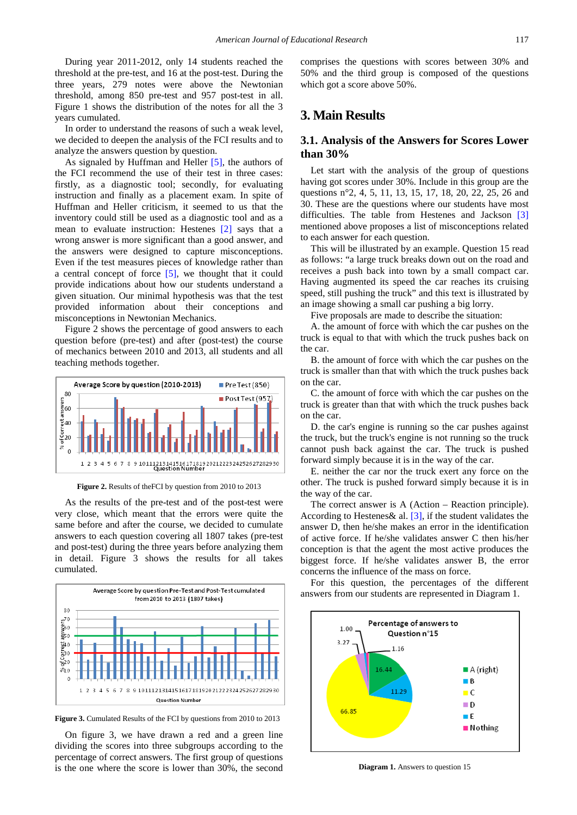During year 2011-2012, only 14 students reached the threshold at the pre-test, and 16 at the post-test. During the three years, 279 notes were above the Newtonian threshold, among 850 pre-test and 957 post-test in all. Figure 1 shows the distribution of the notes for all the 3 years cumulated.

In order to understand the reasons of such a weak level, we decided to deepen the analysis of the FCI results and to analyze the answers question by question.

As signaled by Huffman and Heller  $[5]$ , the authors of the FCI recommend the use of their test in three cases: firstly, as a diagnostic tool; secondly, for evaluating instruction and finally as a placement exam. In spite of Huffman and Heller criticism, it seemed to us that the inventory could still be used as a diagnostic tool and as a mean to evaluate instruction: Hestenes [\[2\]](#page-4-1) says that a wrong answer is more significant than a good answer, and the answers were designed to capture misconceptions. Even if the test measures pieces of knowledge rather than a central concept of force [\[5\],](#page-4-4) we thought that it could provide indications about how our students understand a given situation. Our minimal hypothesis was that the test provided information about their conceptions and misconceptions in Newtonian Mechanics.

Figure 2 shows the percentage of good answers to each question before (pre-test) and after (post-test) the course of mechanics between 2010 and 2013, all students and all teaching methods together.



**Figure 2.** Results of theFCI by question from 2010 to 2013

As the results of the pre-test and of the post-test were very close, which meant that the errors were quite the same before and after the course, we decided to cumulate answers to each question covering all 1807 takes (pre-test and post-test) during the three years before analyzing them in detail. Figure 3 shows the results for all takes cumulated.



**Figure 3.** Cumulated Results of the FCI by questions from 2010 to 2013

On figure 3, we have drawn a red and a green line dividing the scores into three subgroups according to the percentage of correct answers. The first group of questions is the one where the score is lower than 30%, the second comprises the questions with scores between 30% and 50% and the third group is composed of the questions which got a score above 50%.

# **3. Main Results**

#### **3.1. Analysis of the Answers for Scores Lower than 30%**

Let start with the analysis of the group of questions having got scores under 30%. Include in this group are the questions n°2, 4, 5, 11, 13, 15, 17, 18, 20, 22, 25, 26 and 30. These are the questions where our students have most difficulties. The table from Hestenes and Jackson [\[3\]](#page-4-2) mentioned above proposes a list of misconceptions related to each answer for each question.

This will be illustrated by an example. Question 15 read as follows: "a large truck breaks down out on the road and receives a push back into town by a small compact car. Having augmented its speed the car reaches its cruising speed, still pushing the truck" and this text is illustrated by an image showing a small car pushing a big lorry.

Five proposals are made to describe the situation:

A. the amount of force with which the car pushes on the truck is equal to that with which the truck pushes back on the car.

B. the amount of force with which the car pushes on the truck is smaller than that with which the truck pushes back on the car.

C. the amount of force with which the car pushes on the truck is greater than that with which the truck pushes back on the car.

D. the car's engine is running so the car pushes against the truck, but the truck's engine is not running so the truck cannot push back against the car. The truck is pushed forward simply because it is in the way of the car.

E. neither the car nor the truck exert any force on the other. The truck is pushed forward simply because it is in the way of the car.

The correct answer is A (Action – Reaction principle). According to Hestenes& al. [\[3\],](#page-4-2) if the student validates the answer D, then he/she makes an error in the identification of active force. If he/she validates answer C then his/her conception is that the agent the most active produces the biggest force. If he/she validates answer B, the error concerns the influence of the mass on force.

For this question, the percentages of the different answers from our students are represented in Diagram 1.



**Diagram 1.** Answers to question 15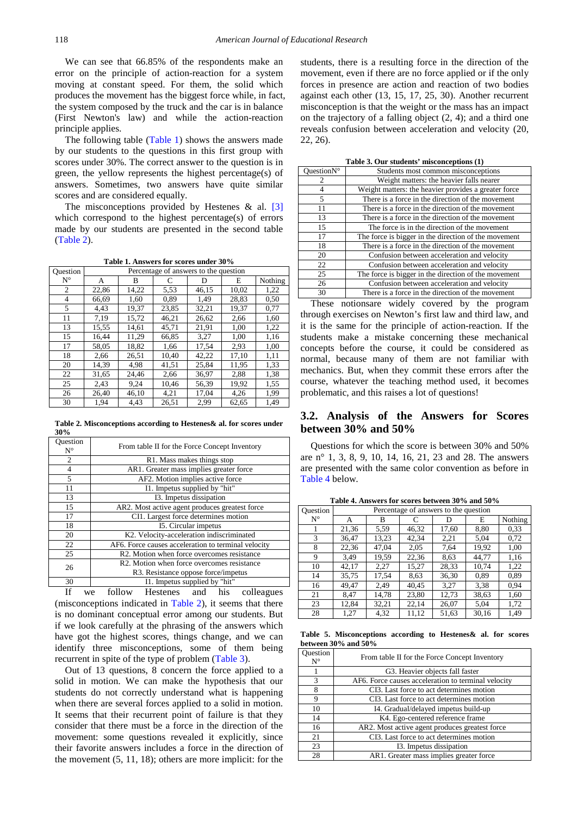We can see that 66.85% of the respondents make an error on the principle of action-reaction for a system moving at constant speed. For them, the solid which produces the movement has the biggest force while, in fact, the system composed by the truck and the car is in balance (First Newton's law) and while the action-reaction principle applies.

The following table [\(Table 1\)](#page-2-0) shows the answers made by our students to the questions in this first group with scores under 30%. The correct answer to the question is in green, the yellow represents the highest percentage(s) of answers. Sometimes, two answers have quite similar scores and are considered equally.

The misconceptions provided by Hestenes  $\&$  al. [\[3\]](#page-4-2) which correspond to the highest percentage(s) of errors made by our students are presented in the second table [\(Table 2\)](#page-2-1).

**Table 1. Answers for scores under 30%**

<span id="page-2-0"></span>

| Ouestion    | Percentage of answers to the question |       |       |       |       |         |
|-------------|---------------------------------------|-------|-------|-------|-------|---------|
| $N^{\circ}$ | А                                     | В     | C     | D     | E     | Nothing |
| 2           | 22,86                                 | 14,22 | 5,53  | 46,15 | 10,02 | 1,22    |
| 4           | 66,69                                 | 1,60  | 0.89  | 1,49  | 28,83 | 0,50    |
| 5           | 4,43                                  | 19.37 | 23,85 | 32,21 | 19,37 | 0,77    |
| 11          | 7.19                                  | 15,72 | 46,21 | 26,62 | 2,66  | 1,60    |
| 13          | 15,55                                 | 14,61 | 45,71 | 21,91 | 1,00  | 1,22    |
| 15          | 16,44                                 | 11,29 | 66,85 | 3,27  | 1,00  | 1,16    |
| 17          | 58,05                                 | 18,82 | 1,66  | 17,54 | 2.93  | 1,00    |
| 18          | 2,66                                  | 26,51 | 10,40 | 42,22 | 17,10 | 1,11    |
| 20          | 14,39                                 | 4.98  | 41,51 | 25,84 | 11,95 | 1,33    |
| 22          | 31,65                                 | 24,46 | 2,66  | 36,97 | 2,88  | 1,38    |
| 25          | 2,43                                  | 9,24  | 10,46 | 56,39 | 19,92 | 1,55    |
| 26          | 26,40                                 | 46,10 | 4,21  | 17,04 | 4,26  | 1,99    |
| 30          | 1,94                                  | 4,43  | 26,51 | 2,99  | 62,65 | 1,49    |

**Table 2. Misconceptions according to Hestenes& al. for scores under 30%**

<span id="page-2-1"></span>

| Ouestion<br>$N^{\circ}$ | From table II for the Force Concept Inventory       |
|-------------------------|-----------------------------------------------------|
| 2                       | R1. Mass makes things stop                          |
| $\overline{4}$          | AR1. Greater mass implies greater force             |
| 5                       | AF2. Motion implies active force                    |
| 11                      | I1. Impetus supplied by "hit"                       |
| 13                      | I3. Impetus dissipation                             |
| 15                      | AR2. Most active agent produces greatest force      |
| 17                      | CI1. Largest force determines motion                |
| 18                      | 15. Circular impetus                                |
| 20                      | K2. Velocity-acceleration indiscriminated           |
| 22                      | AF6. Force causes acceleration to terminal velocity |
| 25                      | R2. Motion when force overcomes resistance          |
| 26                      | R2. Motion when force overcomes resistance          |
|                         | R3. Resistance oppose force/impetus                 |
| 30                      | I1. Impetus supplied by "hit"                       |
| тc                      | fallen Hastanae and his authorized<br>$- - - -$     |

If we follow Hestenes and his colleagues (misconceptions indicated in [Table 2\)](#page-2-1), it seems that there is no dominant conceptual error among our students. But if we look carefully at the phrasing of the answers which have got the highest scores, things change, and we can identify three misconceptions, some of them being recurrent in spite of the type of problem [\(Table 3\)](#page-2-2).

Out of 13 questions, 8 concern the force applied to a solid in motion. We can make the hypothesis that our students do not correctly understand what is happening when there are several forces applied to a solid in motion. It seems that their recurrent point of failure is that they consider that there must be a force in the direction of the movement: some questions revealed it explicitly, since their favorite answers includes a force in the direction of the movement (5, 11, 18); others are more implicit: for the

students, there is a resulting force in the direction of the movement, even if there are no force applied or if the only forces in presence are action and reaction of two bodies against each other (13, 15, 17, 25, 30). Another recurrent misconception is that the weight or the mass has an impact on the trajectory of a falling object (2, 4); and a third one reveals confusion between acceleration and velocity (20, 22, 26).

| Table 3. Our students' misconceptions (1) |  |  |  |
|-------------------------------------------|--|--|--|
|-------------------------------------------|--|--|--|

<span id="page-2-2"></span>

| Ouestion $N^{\circ}$ | Students most common misconceptions                  |
|----------------------|------------------------------------------------------|
| 2                    | Weight matters: the heavier falls nearer             |
| 4                    | Weight matters: the heavier provides a greater force |
| 5                    | There is a force in the direction of the movement    |
| 11                   | There is a force in the direction of the movement    |
| 13                   | There is a force in the direction of the movement    |
| 15                   | The force is in the direction of the movement        |
| 17                   | The force is bigger in the direction of the movement |
| 18                   | There is a force in the direction of the movement    |
| 20                   | Confusion between acceleration and velocity          |
| 22                   | Confusion between acceleration and velocity          |
| 25                   | The force is bigger in the direction of the movement |
| 26                   | Confusion between acceleration and velocity          |
| 30                   | There is a force in the direction of the movement    |
|                      |                                                      |

These notionsare widely covered by the program through exercises on Newton's first law and third law, and it is the same for the principle of action-reaction. If the students make a mistake concerning these mechanical concepts before the course, it could be considered as normal, because many of them are not familiar with mechanics. But, when they commit these errors after the course, whatever the teaching method used, it becomes problematic, and this raises a lot of questions!

#### **3.2. Analysis of the Answers for Scores between 30% and 50%**

Questions for which the score is between 30% and 50% are n° 1, 3, 8, 9, 10, 14, 16, 21, 23 and 28. The answers are presented with the same color convention as before in [Table](#page-2-3) 4 below.

<span id="page-2-3"></span>

| <b>Question</b> | Percentage of answers to the question |       |       |       |       |         |
|-----------------|---------------------------------------|-------|-------|-------|-------|---------|
| $N^{\circ}$     | А                                     | B     |       | D     | E     | Nothing |
|                 | 21,36                                 | 5.59  | 46,32 | 17,60 | 8,80  | 0.33    |
| 3               | 36,47                                 | 13,23 | 42,34 | 2,21  | 5,04  | 0,72    |
| 8               | 22,36                                 | 47,04 | 2,05  | 7,64  | 19.92 | 1,00    |
| 9               | 3.49                                  | 19,59 | 22,36 | 8.63  | 44,77 | 1,16    |
| 10              | 42,17                                 | 2,27  | 15,27 | 28,33 | 10,74 | 1,22    |
| 14              | 35,75                                 | 17,54 | 8.63  | 36,30 | 0.89  | 0.89    |
| 16              | 49,47                                 | 2,49  | 40,45 | 3,27  | 3.38  | 0.94    |
| 21              | 8,47                                  | 14,78 | 23,80 | 12,73 | 38,63 | 1,60    |
| 23              | 12,84                                 | 32,21 | 22,14 | 26,07 | 5,04  | 1,72    |
| 28              | 1,27                                  | 4,32  | 11,12 | 51,63 | 30.16 | 1,49    |

**Table 4. Answers for scores between 30% and 50%**

**Table 5. Misconceptions according to Hestenes& al. for scores between 30% and 50%**

<span id="page-2-4"></span>

| uestion<br>$N^{\circ}$ | From table II for the Force Concept Inventory       |
|------------------------|-----------------------------------------------------|
|                        | G3. Heavier objects fall faster                     |
| $\mathcal{R}$          | AF6. Force causes acceleration to terminal velocity |
| 8                      | CI3. Last force to act determines motion            |
| 9                      | CI3. Last force to act determines motion            |
| 10                     | I4. Gradual/delayed impetus build-up                |
| 14                     | K4. Ego-centered reference frame                    |
| 16                     | AR2. Most active agent produces greatest force      |
| 21                     | CI3. Last force to act determines motion            |
| 23                     | I3. Impetus dissipation                             |
| 28                     | AR1. Greater mass implies greater force             |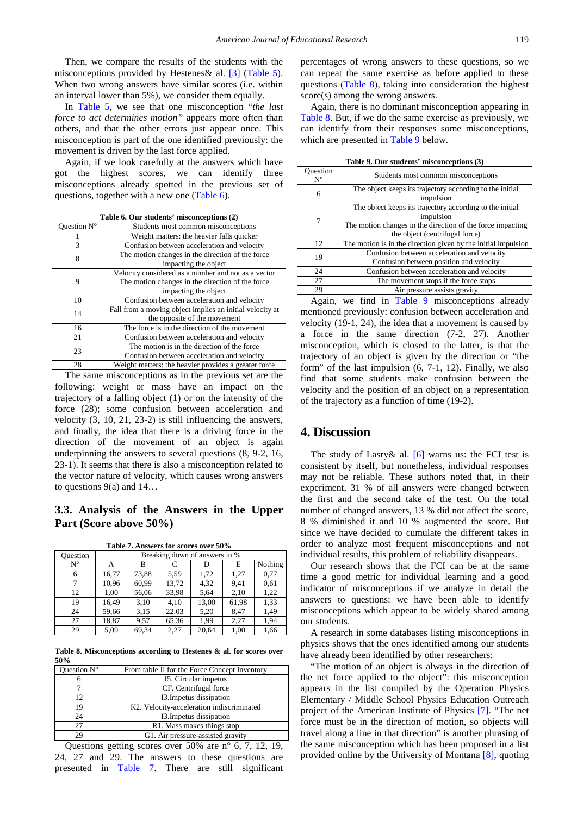Then, we compare the results of the students with the misconceptions provided by Hestenes& al. [\[3\]](#page-4-2) [\(Table 5\)](#page-2-4). When two wrong answers have similar scores (i.e. within an interval lower than 5%), we consider them equally.

In [Table 5,](#page-2-4) we see that one misconception "*the last force to act determines motion"* appears more often than others, and that the other errors just appear once. This misconception is part of the one identified previously: the movement is driven by the last force applied.

Again, if we look carefully at the answers which have got the highest scores, we can identify three misconceptions already spotted in the previous set of questions, together with a new one [\(Table 6\)](#page-3-0).

<span id="page-3-0"></span>

| Ouestion $N^{\circ}$ | Students most common misconceptions                      |
|----------------------|----------------------------------------------------------|
|                      | Weight matters: the heavier falls quicker                |
| 3                    | Confusion between acceleration and velocity              |
|                      | The motion changes in the direction of the force         |
|                      | impacting the object                                     |
|                      | Velocity considered as a number and not as a vector      |
| 9                    | The motion changes in the direction of the force         |
|                      | impacting the object                                     |
| 10                   | Confusion between acceleration and velocity              |
| 14                   | Fall from a moving object implies an initial velocity at |
|                      | the opposite of the movement                             |

16 The force is in the direction of the movement 21 Confusion between acceleration and velocity 23 The motion is in the direction of the force

Confusion between acceleration and velocity

**Table 6. Our students' misconceptions (2)**

28 Weight matters: the heavier provides a greater force The same misconceptions as in the previous set are the following: weight or mass have an impact on the trajectory of a falling object (1) or on the intensity of the force (28); some confusion between acceleration and velocity (3, 10, 21, 23-2) is still influencing the answers, and finally, the idea that there is a driving force in the direction of the movement of an object is again underpinning the answers to several questions (8, 9-2, 16, 23-1). It seems that there is also a misconception related to the vector nature of velocity, which causes wrong answers to questions 9(a) and 14…

### **3.3. Analysis of the Answers in the Upper Part (Score above 50%)**

| Table 7. Answers for scores over 50% |
|--------------------------------------|
| Breaking down of answers in %        |

<span id="page-3-1"></span>

| Question    | Breaking down of answers in % |       |       |       |       |         |
|-------------|-------------------------------|-------|-------|-------|-------|---------|
| $N^{\circ}$ | А                             | в     |       |       | E     | Nothing |
| 6           | 16,77                         | 73,88 | 5.59  | 1.72  | 1.27  | 0.77    |
|             | 10.96                         | 60,99 | 13,72 | 4,32  | 9,41  | 0.61    |
| 12          | 1,00                          | 56,06 | 33,98 | 5,64  | 2,10  | 1,22    |
| 19          | 16,49                         | 3,10  | 4,10  | 13,00 | 61,98 | 1,33    |
| 24          | 59,66                         | 3,15  | 22,03 | 5.20  | 8.47  | 1,49    |
| 27          | 18,87                         | 9,57  | 65,36 | 1.99  | 2,27  | 1,94    |
| 29          | 5.09                          | 69,34 | 2,27  | 20,64 | 1,00  | 1,66    |

**Table 8. Misconceptions according to Hestenes & al. for scores over 50%**

<span id="page-3-2"></span>

| Ouestion $N^{\circ}$ | From table II for the Force Concept Inventory |
|----------------------|-----------------------------------------------|
|                      | 15. Circular impetus                          |
|                      | CF. Centrifugal force                         |
| 12                   | I3. Impetus dissipation                       |
| 19                   | K2. Velocity-acceleration indiscriminated     |
| 24                   | I3. Impetus dissipation                       |
| 27                   | R1. Mass makes things stop                    |
| 29                   | G1. Air pressure-assisted gravity             |

Questions getting scores over 50% are n° 6, 7, 12, 19, 24, 27 and 29. The answers to these questions are presented in [Table 7.](#page-3-1) There are still significant

percentages of wrong answers to these questions, so we can repeat the same exercise as before applied to these questions [\(Table 8\)](#page-3-2), taking into consideration the highest score(s) among the wrong answers.

Again, there is no dominant misconception appearing in [Table 8.](#page-3-2) But, if we do the same exercise as previously, we can identify from their responses some misconceptions, which are presented in [Table 9](#page-3-3) below.

**Table 9. Our students' misconceptions (3)**

<span id="page-3-3"></span>

|                         | raon et our successive misconceptions (e)                                                                                                                             |
|-------------------------|-----------------------------------------------------------------------------------------------------------------------------------------------------------------------|
| Ouestion<br>$N^{\circ}$ | Students most common misconceptions                                                                                                                                   |
| 6                       | The object keeps its trajectory according to the initial<br>impulsion                                                                                                 |
| 7                       | The object keeps its trajectory according to the initial<br>impulsion<br>The motion changes in the direction of the force impacting<br>the object (centrifugal force) |
| 12                      | The motion is in the direction given by the initial impulsion                                                                                                         |
| 19                      | Confusion between acceleration and velocity<br>Confusion between position and velocity                                                                                |
| 24                      | Confusion between acceleration and velocity                                                                                                                           |
| 27                      | The movement stops if the force stops                                                                                                                                 |
| 29                      | Air pressure assists gravity                                                                                                                                          |
|                         |                                                                                                                                                                       |

Again, we find in [Table 9](#page-3-3) misconceptions already mentioned previously: confusion between acceleration and velocity (19-1, 24), the idea that a movement is caused by a force in the same direction (7-2, 27). Another misconception, which is closed to the latter, is that the trajectory of an object is given by the direction or "the form" of the last impulsion (6, 7-1, 12). Finally, we also find that some students make confusion between the velocity and the position of an object on a representation of the trajectory as a function of time (19-2).

## **4. Discussion**

The study of Lasry & al.  $[6]$  warns us: the FCI test is consistent by itself, but nonetheless, individual responses may not be reliable. These authors noted that, in their experiment, 31 % of all answers were changed between the first and the second take of the test. On the total number of changed answers, 13 % did not affect the score, 8 % diminished it and 10 % augmented the score. But since we have decided to cumulate the different takes in order to analyze most frequent misconceptions and not individual results, this problem of reliability disappears.

Our research shows that the FCI can be at the same time a good metric for individual learning and a good indicator of misconceptions if we analyze in detail the answers to questions: we have been able to identify misconceptions which appear to be widely shared among our students.

A research in some databases listing misconceptions in physics shows that the ones identified among our students have already been identified by other researchers:

"The motion of an object is always in the direction of the net force applied to the object": this misconception appears in the list compiled by the Operation Physics Elementary / Middle School Physics Education Outreach project of the American Institute of Physics [\[7\].](#page-4-6) "The net force must be in the direction of motion, so objects will travel along a line in that direction" is another phrasing of the same misconception which has been proposed in a list provided online by the University of Montana [\[8\],](#page-4-7) quoting